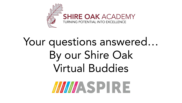

# Your questions answered… By our Shire Oak Virtual Buddies

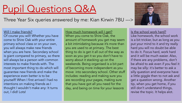## Pupil Questions Q&A

Three Year Six queries answered by me: Kian Kirwin 7BU --->

#### Will I make friends?

Of course you will! Whether you have come to Shire Oak with your entire primary school class or on your own, you will always make new friends when you are here. Secondary school is giant compared to primary, so there will always be a person with common interests to make friends with. The most important thing to do which will guarantee new friends and make the experience even better is to be yourself! When I first arrived I had no intentions on making friends as I thought I wouldn't make any: It turns out, I did! Lots!

How much homework will I get? When you come to Shire Oak, the amount of homework you get may seem a bit intimidating because it's more than you are used to at primary. The best thing to do is get it all out of the way as soon as you get it so you don't have to worry about it stacking up on the weekends. Being organised is a bit part of becoming more independent as you move into secondary school. Other stuff includes: reading and making sure you are recording your pages, making sure that you have got all you need for the day, and being on time for your lessons



Is the school work hard? Like homework, the school work is a bit trickier, but as long as you put your mind to it and try really hard you will no doubt be able to do it. Focus hard, work hard and it will be much easier. Also, if there are any problems, don't be afraid to ask even if you feel it may be silly: it's better to ask a silly question and everyone have a little giggle then to not ask and get a question wrong. Another tip, when you get home, if you still don't understand things, revise the topic. It helps alot.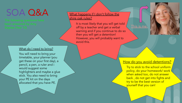## SOA Q&A

#### What do I need to bring?

You will need to bring your timetable, your planner (you get these on your first day), a pencil, a pen, a ruler and i would suggest some highlighters and maybe a glue stick. You also need to bring your PE kit on the days allocated that you have PE.

### What happens if I don't follow the shire oak rules?

It is most likely that you will get told off by a teacher and get a verbal warning and if you continue to do so then you will get a detention! However, you will probably want to avoid this.



### How do you avoid detentions?

Try to stick to the school uniform policy, do your homework/ work when asked too, do not answer back , do not get into fights and try to be the best version of yourself that you can!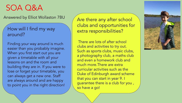### SOA Q&A

Answered by Elliot Wollaston 7BU

How will I find my way around?

Finding your way around is much easier than you probably imagine. When you first start out you are given a timetable with all your lessons on and the room and building they are in. If you were to lose or forget your timetable, you can always get a new one. Staff are always around and are happy to point you in the right direction!

Are there any after school clubs and opportunities for extra responsibilities?

 There are lots of after school clubs and activities to try out. Such as sports clubs, music clubs, a photography club, a maths club and even a homework club and much more.There are extra curricular activities such as the Duke of Edinburgh award scheme that you can start in year 9. I guarantee there is a club for you , so have a go!

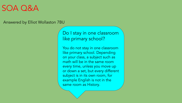### SOA Q&A

### Answered by Elliot Wollaston 7BU

Do I stay in one classroom like primary school?

You do not stay in one classroom like primary school. Depending on your class, a subject such as math will be in the same room every time, unless you move up or down a set, but every different subject is in its own room, for example English is not in the same room as History.